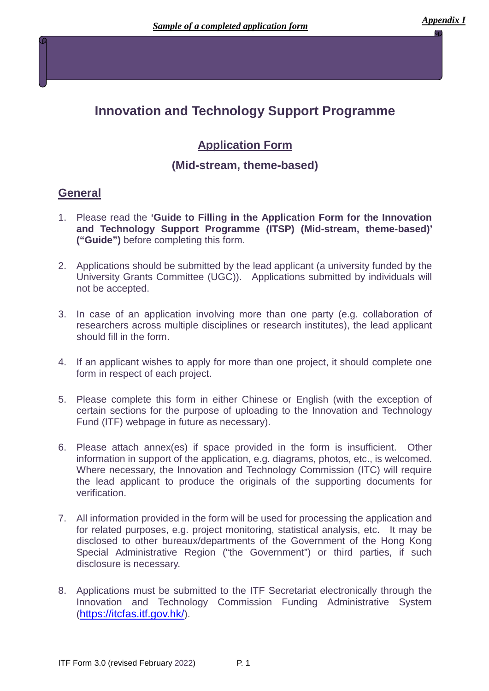# **Innovation and Technology Support Programme**

# **Application Form**

# **(Mid-stream, theme-based)**

## **General**

- 1. Please read the **'Guide to Filling in the Application Form for the Innovation and Technology Support Programme (ITSP) (Mid-stream, theme-based)' ("Guide")** before completing this form.
- 2. Applications should be submitted by the lead applicant (a university funded by the University Grants Committee (UGC)). Applications submitted by individuals will not be accepted.
- 3. In case of an application involving more than one party (e.g. collaboration of researchers across multiple disciplines or research institutes), the lead applicant should fill in the form.
- 4. If an applicant wishes to apply for more than one project, it should complete one form in respect of each project.
- 5. Please complete this form in either Chinese or English (with the exception of certain sections for the purpose of uploading to the Innovation and Technology Fund (ITF) webpage in future as necessary).
- 6. Please attach annex(es) if space provided in the form is insufficient. Other information in support of the application, e.g. diagrams, photos, etc., is welcomed. Where necessary, the Innovation and Technology Commission (ITC) will require the lead applicant to produce the originals of the supporting documents for verification.
- 7. All information provided in the form will be used for processing the application and for related purposes, e.g. project monitoring, statistical analysis, etc. It may be disclosed to other bureaux/departments of the Government of the Hong Kong Special Administrative Region ("the Government") or third parties, if such disclosure is necessary.
- 8. Applications must be submitted to the ITF Secretariat electronically through the Innovation and Technology Commission Funding Administrative System [\(https://itcfas.itf.gov.hk/](https://itcfas.itf.gov.hk/)).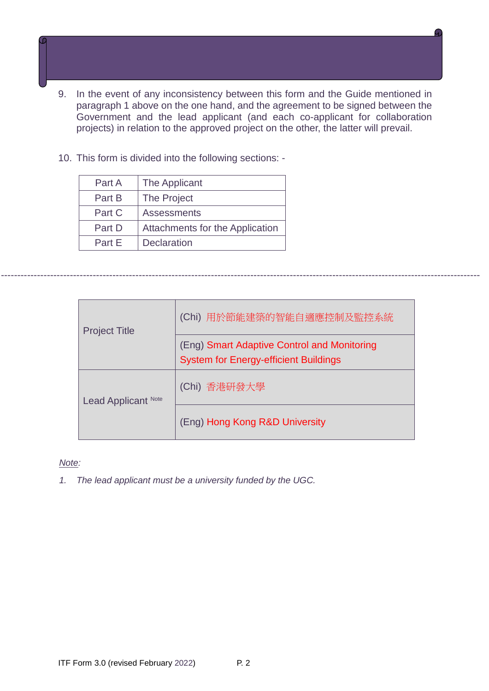- 9. In the event of any inconsistency between this form and the Guide mentioned in paragraph 1 above on the one hand, and the agreement to be signed between the Government and the lead applicant (and each co-applicant for collaboration projects) in relation to the approved project on the other, the latter will prevail.
- 10. This form is divided into the following sections: -

| Part A | The Applicant                          |
|--------|----------------------------------------|
| Part B | The Project                            |
| Part C | <b>Assessments</b>                     |
| Part D | <b>Attachments for the Application</b> |
| Part F | <b>Declaration</b>                     |

| <b>Project Title</b> | (Chi) 用於節能建築的智能自適應控制及監控系統                                                                   |
|----------------------|---------------------------------------------------------------------------------------------|
|                      | (Eng) Smart Adaptive Control and Monitoring<br><b>System for Energy-efficient Buildings</b> |
| Lead Applicant Note  | (Chi) 香港研發大學                                                                                |
|                      | (Eng) Hong Kong R&D University                                                              |

--------------------------------------------------------------------------------------------------------------------------------------------------

#### *Note:*

*1. The lead applicant must be a university funded by the UGC.*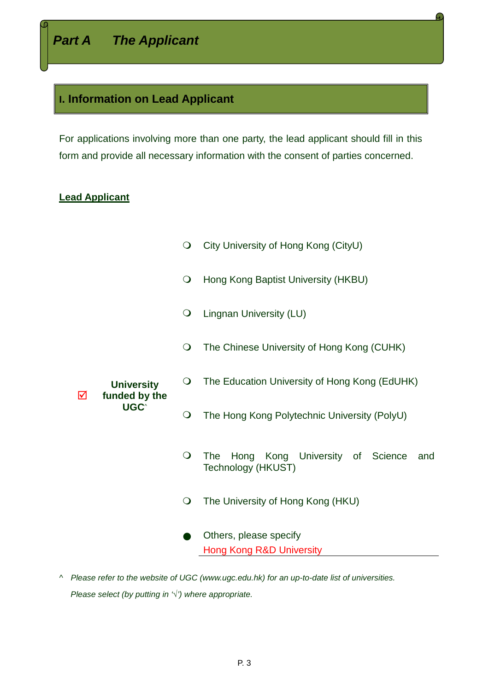## **I. Information on Lead Applicant**

For applications involving more than one party, the lead applicant should fill in this form and provide all necessary information with the consent of parties concerned.

### **Lead Applicant**

- City University of Hong Kong (CityU)
- O Hong Kong Baptist University (HKBU)
- Lingnan University (LU)
- The Chinese University of Hong Kong (CUHK)
- **University**  The Education University of Hong Kong (EdUHK)
- ☑ **funded by the UGC**^
- The Hong Kong Polytechnic University (PolyU)
- The Hong Kong University of Science and Technology (HKUST)
- The University of Hong Kong (HKU)
- Others, please specify Hong Kong R&D University
- *^ Please refer to the website of UGC [\(www.ugc.edu.hk\)](http://www.ugc.edu.hk/) for an up-to-date list of universities. Please select (by putting in '*√*') where appropriate.*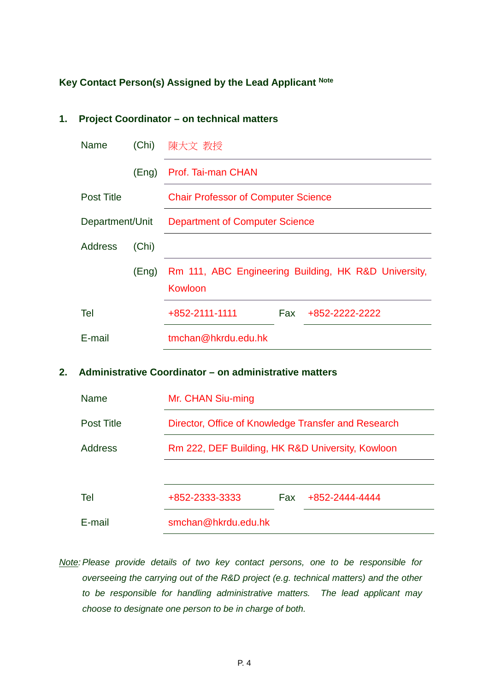## **Key Contact Person(s) Assigned by the Lead Applicant Note**

# **1. Project Coordinator – on technical matters**

| <b>Name</b>       | (Chi) | 陳大文 教授                                                          |  |  |
|-------------------|-------|-----------------------------------------------------------------|--|--|
|                   | (Eng) | Prof. Tai-man CHAN                                              |  |  |
| <b>Post Title</b> |       | <b>Chair Professor of Computer Science</b>                      |  |  |
| Department/Unit   |       | <b>Department of Computer Science</b>                           |  |  |
| Address           | (Chi) |                                                                 |  |  |
|                   | (Eng) | Rm 111, ABC Engineering Building, HK R&D University,<br>Kowloon |  |  |
| Tel               |       | +852-2111-1111<br>+852-2222-2222<br>Fax:                        |  |  |
| E-mail            |       | tmchan@hkrdu.edu.hk                                             |  |  |

#### **2. Administrative Coordinator – on administrative matters**

| <b>Name</b>       | Mr. CHAN Siu-ming                                   |            |                |  |  |
|-------------------|-----------------------------------------------------|------------|----------------|--|--|
| <b>Post Title</b> | Director, Office of Knowledge Transfer and Research |            |                |  |  |
| Address           | Rm 222, DEF Building, HK R&D University, Kowloon    |            |                |  |  |
|                   |                                                     |            |                |  |  |
| Tel               | +852-2333-3333                                      | <b>Fax</b> | +852-2444-4444 |  |  |
| F-mail            | smchan@hkrdu.edu.hk                                 |            |                |  |  |

*Note: Please provide details of two key contact persons, one to be responsible for overseeing the carrying out of the R&D project (e.g. technical matters) and the other to be responsible for handling administrative matters. The lead applicant may choose to designate one person to be in charge of both.*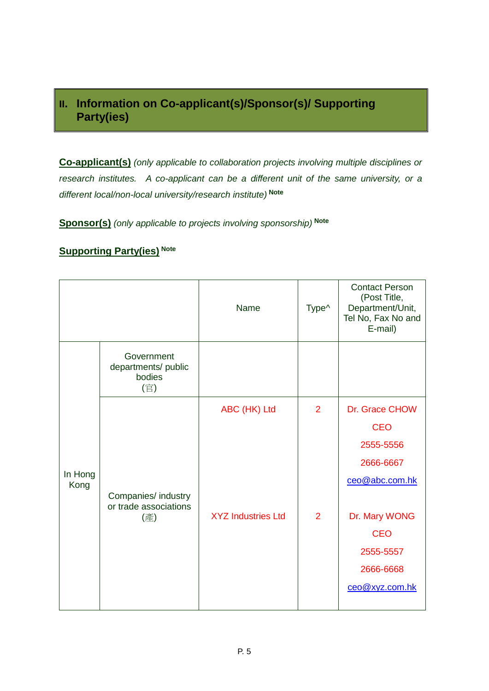# **II. Information on Co-applicant(s)/Sponsor(s)/ Supporting Party(ies)**

**Co-applicant(s)** *(only applicable to collaboration projects involving multiple disciplines or research institutes. A co-applicant can be a different unit of the same university, or a different local/non-local university/research institute)* **Note**

**Sponsor(s)** *(only applicable to projects involving sponsorship)* **Note**

### **Supporting Party(ies) Note**

|                 |                                                    | Name                      | Type <sup>^</sup> | <b>Contact Person</b><br>(Post Title,<br>Department/Unit,<br>Tel No, Fax No and<br>E-mail) |
|-----------------|----------------------------------------------------|---------------------------|-------------------|--------------------------------------------------------------------------------------------|
|                 | Government<br>departments/ public<br>bodies<br>(官) |                           |                   |                                                                                            |
|                 |                                                    | ABC (HK) Ltd              | $\overline{2}$    | Dr. Grace CHOW                                                                             |
|                 |                                                    |                           |                   | <b>CEO</b>                                                                                 |
|                 |                                                    |                           |                   | 2555-5556                                                                                  |
| In Hong<br>Kong |                                                    |                           |                   | 2666-6667                                                                                  |
|                 |                                                    |                           |                   | ceo@abc.com.hk                                                                             |
|                 | Companies/ industry<br>or trade associations       |                           |                   |                                                                                            |
|                 | (產)                                                | <b>XYZ Industries Ltd</b> | $\overline{2}$    | Dr. Mary WONG                                                                              |
|                 |                                                    |                           |                   | <b>CEO</b>                                                                                 |
|                 |                                                    |                           |                   | 2555-5557                                                                                  |
|                 |                                                    |                           |                   | 2666-6668                                                                                  |
|                 |                                                    |                           |                   | ceo@xyz.com.hk                                                                             |
|                 |                                                    |                           |                   |                                                                                            |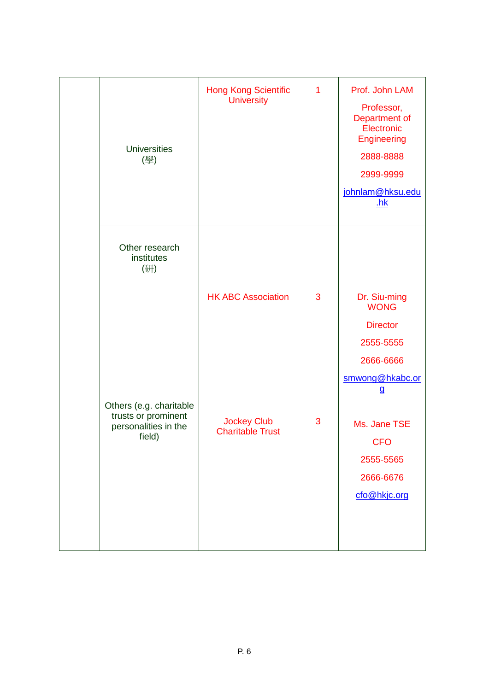| <b>Universities</b><br>(學)                                                       | <b>Hong Kong Scientific</b><br><b>University</b>                           | $\mathbf{1}$ | Prof. John LAM<br>Professor,<br>Department of<br>Electronic<br>Engineering<br>2888-8888<br>2999-9999<br>johnlam@hksu.edu<br><u>.hk</u>                                              |
|----------------------------------------------------------------------------------|----------------------------------------------------------------------------|--------------|-------------------------------------------------------------------------------------------------------------------------------------------------------------------------------------|
| Other research<br>institutes<br>(研)                                              |                                                                            |              |                                                                                                                                                                                     |
| Others (e.g. charitable<br>trusts or prominent<br>personalities in the<br>field) | <b>HK ABC Association</b><br><b>Jockey Club</b><br><b>Charitable Trust</b> | 3<br>3       | Dr. Siu-ming<br><b>WONG</b><br><b>Director</b><br>2555-5555<br>2666-6666<br>smwong@hkabc.or<br>$\mathbf{g}$<br>Ms. Jane TSE<br><b>CFO</b><br>2555-5565<br>2666-6676<br>cfo@hkjc.org |
|                                                                                  |                                                                            |              |                                                                                                                                                                                     |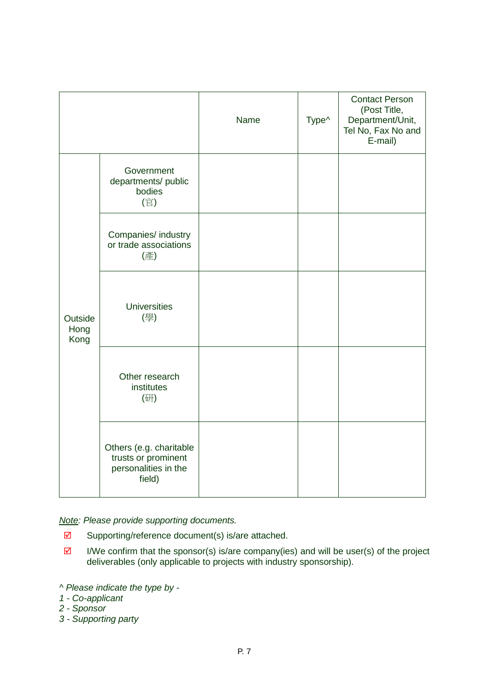|                         |                                                                                  | Name | Type^ | <b>Contact Person</b><br>(Post Title,<br>Department/Unit,<br>Tel No, Fax No and<br>E-mail) |
|-------------------------|----------------------------------------------------------------------------------|------|-------|--------------------------------------------------------------------------------------------|
|                         | Government<br>departments/ public<br>bodies<br>(官)                               |      |       |                                                                                            |
| Outside<br>Hong<br>Kong | Companies/ industry<br>or trade associations<br>(產)                              |      |       |                                                                                            |
|                         | <b>Universities</b><br>(學)                                                       |      |       |                                                                                            |
|                         | Other research<br>institutes<br>(研)                                              |      |       |                                                                                            |
|                         | Others (e.g. charitable<br>trusts or prominent<br>personalities in the<br>field) |      |       |                                                                                            |

*Note: Please provide supporting documents.* 

- $\boxtimes$  Supporting/reference document(s) is/are attached.
- $\boxtimes$  I/We confirm that the sponsor(s) is/are company(ies) and will be user(s) of the project deliverables (only applicable to projects with industry sponsorship).

- *1 - Co-applicant*
- *2 - Sponsor*
- *3 - Supporting party*

*<sup>^</sup> Please indicate the type by -*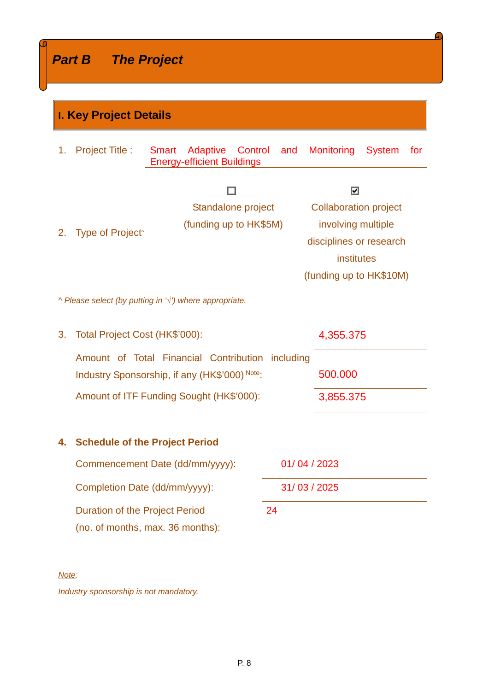Г

|    | <b>I. Key Project Details</b>                                                                                                                        |                                                                          |                                                                                                                                                    |                   |               |     |
|----|------------------------------------------------------------------------------------------------------------------------------------------------------|--------------------------------------------------------------------------|----------------------------------------------------------------------------------------------------------------------------------------------------|-------------------|---------------|-----|
| 1. | <b>Project Title:</b>                                                                                                                                | Adaptive<br><b>Smart</b><br>Control<br><b>Energy-efficient Buildings</b> | and                                                                                                                                                | <b>Monitoring</b> | <b>System</b> | for |
| 2. | Standalone project<br>(funding up to HK\$5M)<br>Type of Project <sup>^</sup><br>$\wedge$ Please select (by putting in $\forall$ ) where appropriate. |                                                                          | $\overline{\phantom{0}}$<br><b>Collaboration project</b><br>involving multiple<br>disciplines or research<br>institutes<br>(funding up to HK\$10M) |                   |               |     |
|    |                                                                                                                                                      |                                                                          |                                                                                                                                                    |                   |               |     |
| 3. | Total Project Cost (HK\$'000):<br>4,355.375                                                                                                          |                                                                          |                                                                                                                                                    |                   |               |     |
|    | Amount of Total Financial Contribution including<br>Industry Sponsorship, if any (HK\$'000) Note:                                                    |                                                                          | 500.000                                                                                                                                            |                   |               |     |
|    | Amount of ITF Funding Sought (HK\$'000):                                                                                                             |                                                                          | 3,855.375                                                                                                                                          |                   |               |     |
| 4. | <b>Schedule of the Project Period</b>                                                                                                                |                                                                          |                                                                                                                                                    |                   |               |     |
|    | Commencement Date (dd/mm/yyyy):                                                                                                                      |                                                                          | 01/04/2023                                                                                                                                         |                   |               |     |
|    | 31/03/2025<br>Completion Date (dd/mm/yyyy):                                                                                                          |                                                                          |                                                                                                                                                    |                   |               |     |
|    | 24<br><b>Duration of the Project Period</b><br>(no. of months, max. 36 months):                                                                      |                                                                          |                                                                                                                                                    |                   |               |     |

 $\mathbf \Omega$ 

٦

*Note:*

*Industry sponsorship is not mandatory.*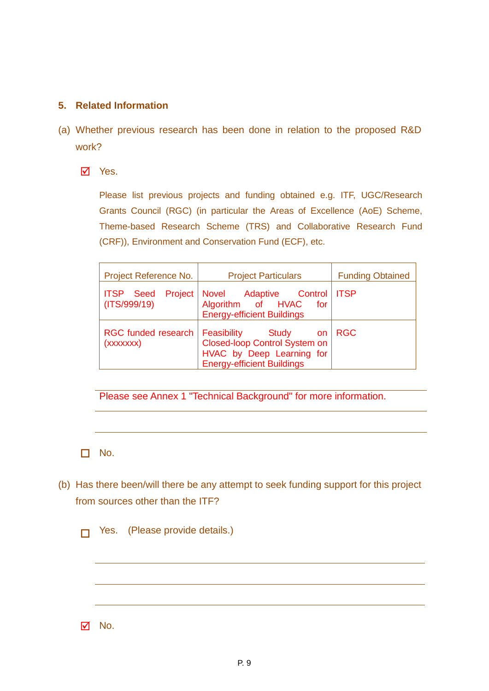#### **5. Related Information**

- (a) Whether previous research has been done in relation to the proposed R&D work?
	- **Ø** Yes.

Please list previous projects and funding obtained e.g. ITF, UGC/Research Grants Council (RGC) (in particular the Areas of Excellence (AoE) Scheme, Theme-based Research Scheme (TRS) and Collaborative Research Fund (CRF)), Environment and Conservation Fund (ECF), etc.

| Project Reference No.                    | <b>Project Particulars</b>                                                                                                                      | <b>Funding Obtained</b> |
|------------------------------------------|-------------------------------------------------------------------------------------------------------------------------------------------------|-------------------------|
| <b>ITSP</b> Seed Project<br>(ITS/999/19) | Novel Adaptive Control   ITSP<br>Algorithm of HVAC<br>for<br><b>Energy-efficient Buildings</b>                                                  |                         |
| <b>RGC funded research</b><br>(xxxxxxx)  | <b>Feasibility</b> Study<br><b>on</b><br><b>Closed-loop Control System on</b><br>HVAC by Deep Learning for<br><b>Energy-efficient Buildings</b> | <b>RGC</b>              |

Please see Annex 1 "Technical Background" for more information.

 $\Box$  No.

(b) Has there been/will there be any attempt to seek funding support for this project from sources other than the ITF?

**T** Yes. (Please provide details.)

 $\overline{M}$  No.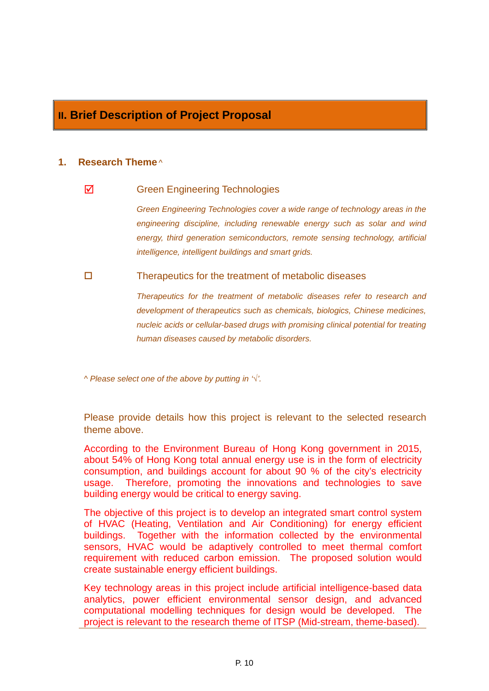# **II. Brief Description of Project Proposal**

#### **1. Research Theme** *^*

#### $\overline{q}$  Green Engineering Technologies

*Green Engineering Technologies cover a wide range of technology areas in the engineering discipline, including renewable energy such as solar and wind energy, third generation semiconductors, remote sensing technology, artificial intelligence, intelligent buildings and smart grids.*

 $\Box$  Therapeutics for the treatment of metabolic diseases

*Therapeutics for the treatment of metabolic diseases refer to research and development of therapeutics such as chemicals, biologics, Chinese medicines, nucleic acids or cellular-based drugs with promising clinical potential for treating human diseases caused by metabolic disorders.*

*^ Please select one of the above by putting in '*√*'.*

Please provide details how this project is relevant to the selected research theme above.

According to the Environment Bureau of Hong Kong government in 2015, about 54% of Hong Kong total annual energy use is in the form of electricity consumption, and buildings account for about 90 % of the city's electricity usage. Therefore, promoting the innovations and technologies to save building energy would be critical to energy saving.

The objective of this project is to develop an integrated smart control system of HVAC (Heating, Ventilation and Air Conditioning) for energy efficient buildings. Together with the information collected by the environmental sensors, HVAC would be adaptively controlled to meet thermal comfort requirement with reduced carbon emission. The proposed solution would create sustainable energy efficient buildings.

Key technology areas in this project include artificial intelligence-based data analytics, power efficient environmental sensor design, and advanced computational modelling techniques for design would be developed. The project is relevant to the research theme of ITSP (Mid-stream, theme-based).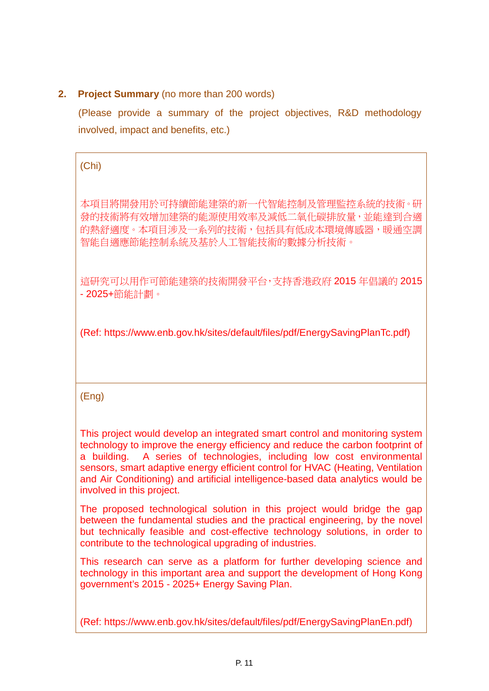## **2. Project Summary** (no more than 200 words)

(Please provide a summary of the project objectives, R&D methodology involved, impact and benefits, etc.)

(Chi)

本項目將開發用於可持續節能建築的新一代智能控制及管理監控系統的技術。研 發的技術將有效增加建築的能源使用效率及減低二氧化碳排放量,並能達到合適 的熱舒滴度。本項目涉及一系列的技術,包括具有低成本環境傳感器,暖涌空調 智能自適應節能控制系統及基於人工智能技術的數據分析技術。

這研究可以用作可節能建築的技術開發平台,支持香港政府 2015 年倡議的 2015 - 2025+節能計劃。

(Ref: https://www.enb.gov.hk/sites/default/files/pdf/EnergySavingPlanTc.pdf)

(Eng)

This project would develop an integrated smart control and monitoring system technology to improve the energy efficiency and reduce the carbon footprint of a building. A series of technologies, including low cost environmental sensors, smart adaptive energy efficient control for HVAC (Heating, Ventilation and Air Conditioning) and artificial intelligence-based data analytics would be involved in this project.

The proposed technological solution in this project would bridge the gap between the fundamental studies and the practical engineering, by the novel but technically feasible and cost-effective technology solutions, in order to contribute to the technological upgrading of industries.

This research can serve as a platform for further developing science and technology in this important area and support the development of Hong Kong government's 2015 - 2025+ Energy Saving Plan.

(Ref: https://www.enb.gov.hk/sites/default/files/pdf/EnergySavingPlanEn.pdf)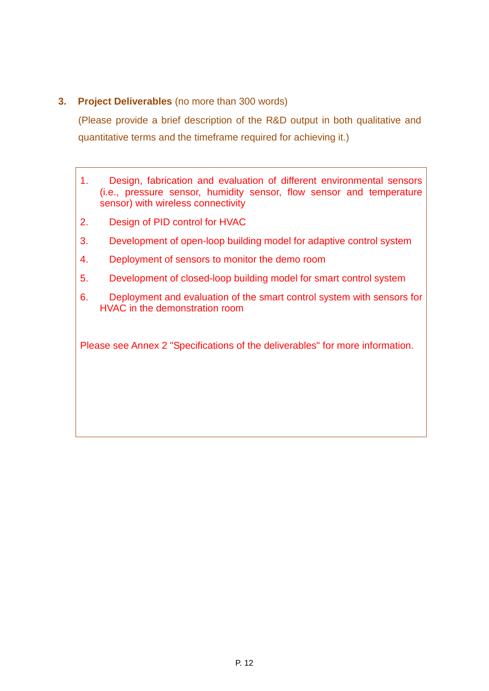#### **3. Project Deliverables** (no more than 300 words)

(Please provide a brief description of the R&D output in both qualitative and quantitative terms and the timeframe required for achieving it.)

- 1. Design, fabrication and evaluation of different environmental sensors (i.e., pressure sensor, humidity sensor, flow sensor and temperature sensor) with wireless connectivity
- 2. Design of PID control for HVAC
- 3. Development of open-loop building model for adaptive control system
- 4. Deployment of sensors to monitor the demo room
- 5. Development of closed-loop building model for smart control system
- 6. Deployment and evaluation of the smart control system with sensors for HVAC in the demonstration room

Please see Annex 2 "Specifications of the deliverables" for more information.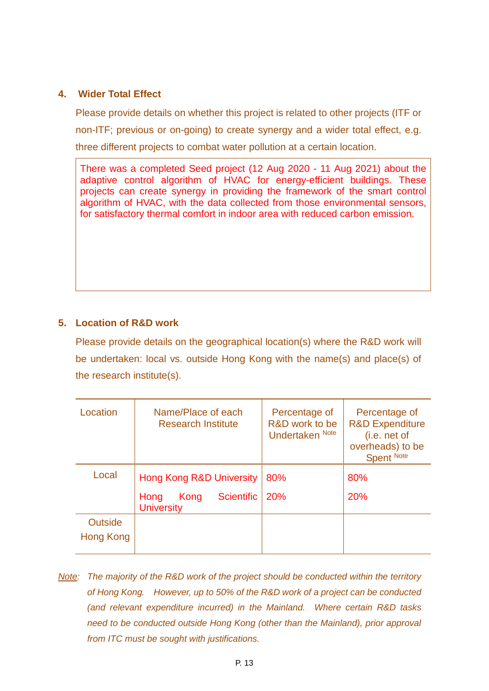#### **4. Wider Total Effect**

Please provide details on whether this project is related to other projects (ITF or non-ITF; previous or on-going) to create synergy and a wider total effect, e.g. three different projects to combat water pollution at a certain location.

There was a completed Seed project (12 Aug 2020 - 11 Aug 2021) about the adaptive control algorithm of HVAC for energy-efficient buildings. These projects can create synergy in providing the framework of the smart control algorithm of HVAC, with the data collected from those environmental sensors, for satisfactory thermal comfort in indoor area with reduced carbon emission.

#### **5. Location of R&D work**

Please provide details on the geographical location(s) where the R&D work will be undertaken: local vs. outside Hong Kong with the name(s) and place(s) of the research institute(s).

| Location       | Name/Place of each<br><b>Research Institute</b>        | Percentage of<br>R&D work to be<br>Undertaken Note | Percentage of<br><b>R&amp;D Expenditure</b><br>(i.e. net of<br>overheads) to be<br>Spent Note |
|----------------|--------------------------------------------------------|----------------------------------------------------|-----------------------------------------------------------------------------------------------|
| Local          | <b>Hong Kong R&amp;D University</b>                    | 80%                                                | 80%                                                                                           |
|                | <b>Scientific</b><br>Kong<br>Hong<br><b>University</b> | 20%                                                | 20%                                                                                           |
| <b>Outside</b> |                                                        |                                                    |                                                                                               |
| Hong Kong      |                                                        |                                                    |                                                                                               |

*Note: The majority of the R&D work of the project should be conducted within the territory of Hong Kong. However, up to 50% of the R&D work of a project can be conducted (and relevant expenditure incurred) in the Mainland. Where certain R&D tasks need to be conducted outside Hong Kong (other than the Mainland), prior approval from ITC must be sought with justifications.*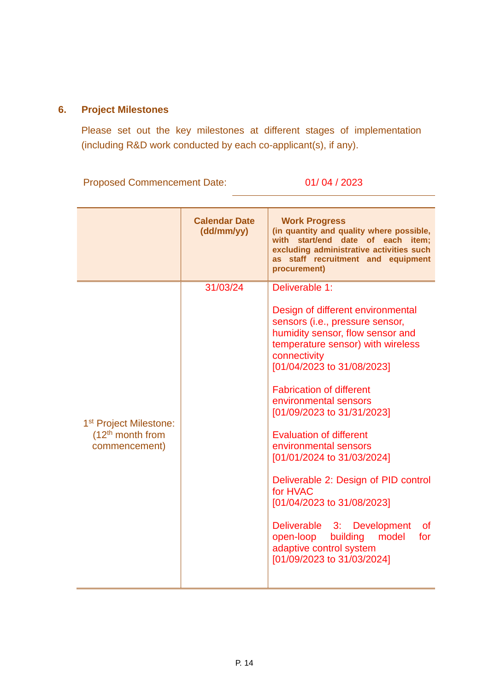### **6. Project Milestones**

Please set out the key milestones at different stages of implementation (including R&D work conducted by each co-applicant(s), if any).

Proposed Commencement Date: 01/ 04 / 2023

|                                                                           | <b>Calendar Date</b><br>(dd/mm/yy) | <b>Work Progress</b><br>(in quantity and quality where possible,<br>with start/end date of each item;<br>excluding administrative activities such<br>as staff recruitment and equipment<br>procurement)                                                                                                                                                                                                                                                                                                                                                                                                                         |
|---------------------------------------------------------------------------|------------------------------------|---------------------------------------------------------------------------------------------------------------------------------------------------------------------------------------------------------------------------------------------------------------------------------------------------------------------------------------------------------------------------------------------------------------------------------------------------------------------------------------------------------------------------------------------------------------------------------------------------------------------------------|
| 1 <sup>st</sup> Project Milestone:<br>$(12th$ month from<br>commencement) | 31/03/24                           | Deliverable 1:<br>Design of different environmental<br>sensors (i.e., pressure sensor,<br>humidity sensor, flow sensor and<br>temperature sensor) with wireless<br>connectivity<br>[01/04/2023 to 31/08/2023]<br><b>Fabrication of different</b><br>environmental sensors<br>[01/09/2023 to 31/31/2023]<br><b>Evaluation of different</b><br>environmental sensors<br>[01/01/2024 to 31/03/2024]<br>Deliverable 2: Design of PID control<br>for HVAC<br>[01/04/2023 to 31/08/2023]<br>Deliverable 3: Development<br><b>of</b><br>open-loop<br>building<br>model<br>for<br>adaptive control system<br>[01/09/2023 to 31/03/2024] |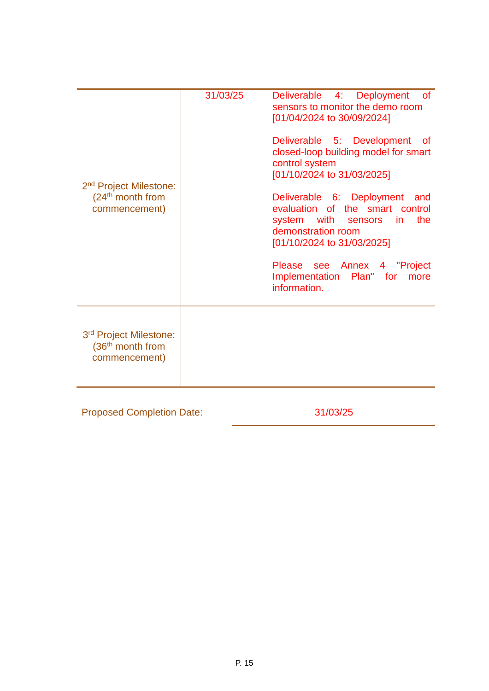| 2 <sup>nd</sup> Project Milestone:<br>$(24th$ month from<br>commencement)           | 31/03/25 | 4: Deployment<br><b>Deliverable</b><br><b>of</b><br>sensors to monitor the demo room<br>[01/04/2024 to 30/09/2024]<br>Deliverable 5: Development<br>of of<br>closed-loop building model for smart<br>control system<br>[01/10/2024 to 31/03/2025]<br>Deliverable 6: Deployment<br>and<br>evaluation of the smart control<br>the<br>system with<br>sensors<br>in.<br>demonstration room<br>[01/10/2024 to 31/03/2025]<br>see Annex 4 "Project<br>Please<br>Implementation Plan" for<br>more<br>information. |
|-------------------------------------------------------------------------------------|----------|------------------------------------------------------------------------------------------------------------------------------------------------------------------------------------------------------------------------------------------------------------------------------------------------------------------------------------------------------------------------------------------------------------------------------------------------------------------------------------------------------------|
| 3 <sup>rd</sup> Project Milestone:<br>(36 <sup>th</sup> month from<br>commencement) |          |                                                                                                                                                                                                                                                                                                                                                                                                                                                                                                            |

Proposed Completion Date: 31/03/25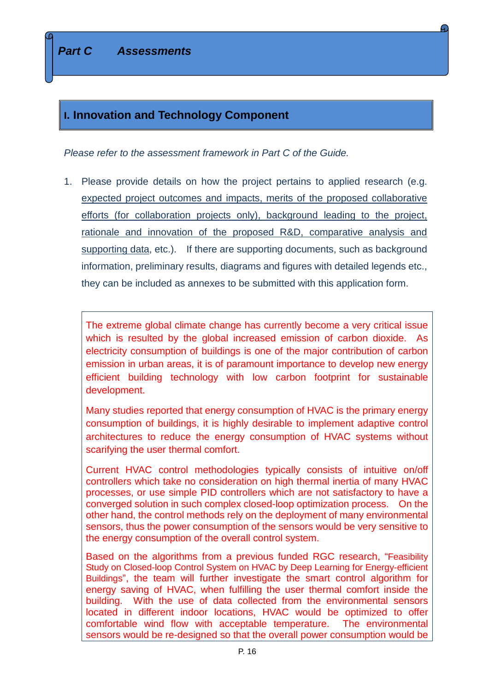## **I. Innovation and Technology Component**

*Please refer to the assessment framework in Part C of the Guide.*

1. Please provide details on how the project pertains to applied research (e.g. expected project outcomes and impacts, merits of the proposed collaborative efforts (for collaboration projects only), background leading to the project, rationale and innovation of the proposed R&D, comparative analysis and supporting data, etc.). If there are supporting documents, such as background information, preliminary results, diagrams and figures with detailed legends etc., they can be included as annexes to be submitted with this application form.

The extreme global climate change has currently become a very critical issue which is resulted by the global increased emission of carbon dioxide. As electricity consumption of buildings is one of the major contribution of carbon emission in urban areas, it is of paramount importance to develop new energy efficient building technology with low carbon footprint for sustainable development.

Many studies reported that energy consumption of HVAC is the primary energy consumption of buildings, it is highly desirable to implement adaptive control architectures to reduce the energy consumption of HVAC systems without scarifying the user thermal comfort.

Current HVAC control methodologies typically consists of intuitive on/off controllers which take no consideration on high thermal inertia of many HVAC processes, or use simple PID controllers which are not satisfactory to have a converged solution in such complex closed-loop optimization process. On the other hand, the control methods rely on the deployment of many environmental sensors, thus the power consumption of the sensors would be very sensitive to the energy consumption of the overall control system.

Based on the algorithms from a previous funded RGC research, "Feasibility Study on Closed-loop Control System on HVAC by Deep Learning for Energy-efficient Buildings", the team will further investigate the smart control algorithm for energy saving of HVAC, when fulfilling the user thermal comfort inside the building. With the use of data collected from the environmental sensors located in different indoor locations, HVAC would be optimized to offer comfortable wind flow with acceptable temperature. The environmental sensors would be re-designed so that the overall power consumption would be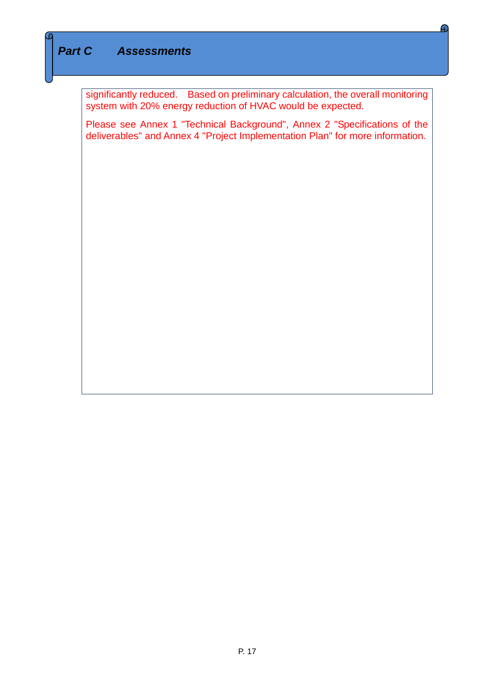# *Part C Assessments*

significantly reduced. Based on preliminary calculation, the overall monitoring system with 20% energy reduction of HVAC would be expected.

c.

Please see Annex 1 "Technical Background", Annex 2 "Specifications of the deliverables" and Annex 4 "Project Implementation Plan" for more information.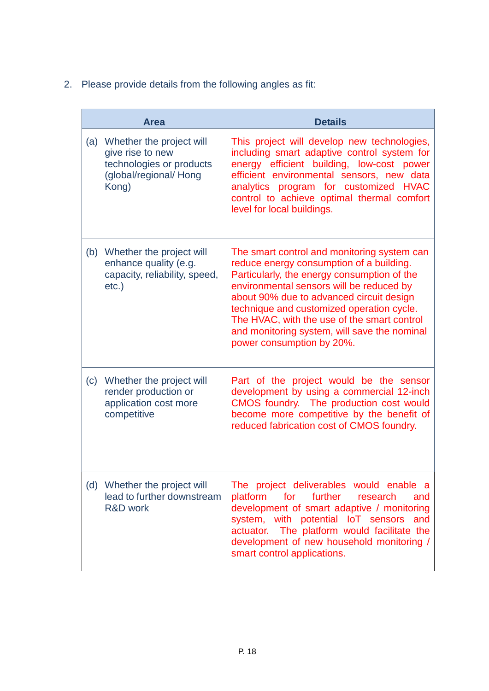2. Please provide details from the following angles as fit:

|     | <b>Area</b>                                                                                                     | <b>Details</b>                                                                                                                                                                                                                                                                                                                                                                                          |
|-----|-----------------------------------------------------------------------------------------------------------------|---------------------------------------------------------------------------------------------------------------------------------------------------------------------------------------------------------------------------------------------------------------------------------------------------------------------------------------------------------------------------------------------------------|
|     | (a) Whether the project will<br>give rise to new<br>technologies or products<br>(global/regional/ Hong<br>Kong) | This project will develop new technologies,<br>including smart adaptive control system for<br>energy efficient building, low-cost power<br>efficient environmental sensors, new data<br>analytics program for customized HVAC<br>control to achieve optimal thermal comfort<br>level for local buildings.                                                                                               |
|     | (b) Whether the project will<br>enhance quality (e.g.<br>capacity, reliability, speed,<br>$etc.$ )              | The smart control and monitoring system can<br>reduce energy consumption of a building.<br>Particularly, the energy consumption of the<br>environmental sensors will be reduced by<br>about 90% due to advanced circuit design<br>technique and customized operation cycle.<br>The HVAC, with the use of the smart control<br>and monitoring system, will save the nominal<br>power consumption by 20%. |
| (c) | Whether the project will<br>render production or<br>application cost more<br>competitive                        | Part of the project would be the sensor<br>development by using a commercial 12-inch<br>CMOS foundry. The production cost would<br>become more competitive by the benefit of<br>reduced fabrication cost of CMOS foundry.                                                                                                                                                                               |
|     | (d) Whether the project will<br>lead to further downstream<br><b>R&amp;D</b> work                               | The project deliverables would enable a<br>for<br>further<br>platform<br>research<br>and<br>development of smart adaptive / monitoring<br>system, with potential IoT sensors<br>and<br>actuator. The platform would facilitate the<br>development of new household monitoring /<br>smart control applications.                                                                                          |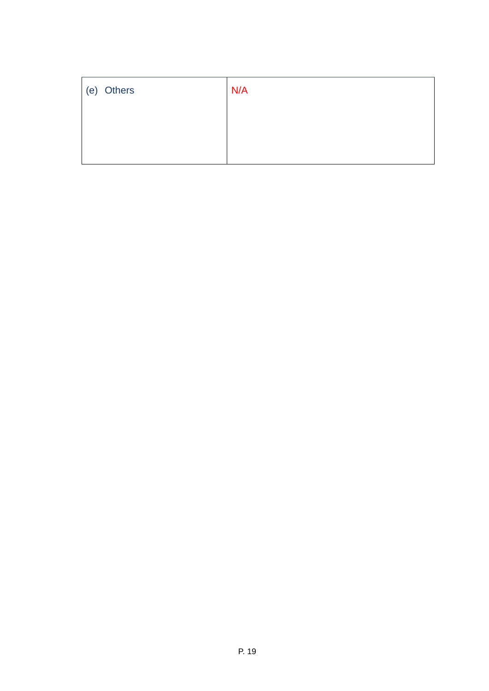| (e) Others | N/A |
|------------|-----|
|            |     |
|            |     |
|            |     |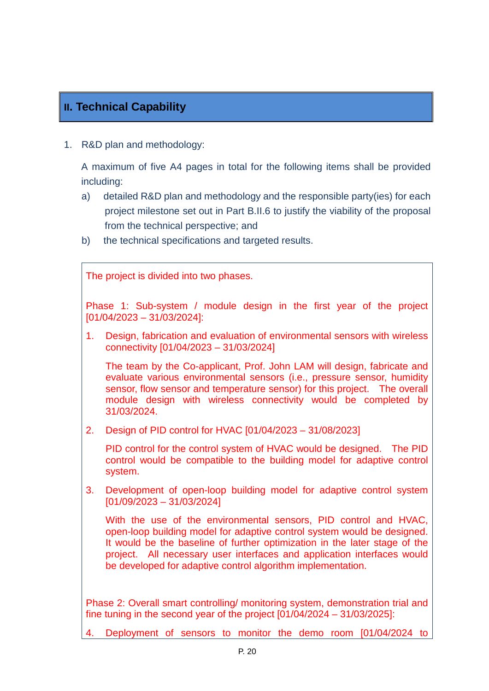# **II. Technical Capability**

1. R&D plan and methodology:

A maximum of five A4 pages in total for the following items shall be provided including:

- a) detailed R&D plan and methodology and the responsible party(ies) for each project milestone set out in Part B.II.6 to justify the viability of the proposal from the technical perspective; and
- b) the technical specifications and targeted results.

The project is divided into two phases.

Phase 1: Sub-system / module design in the first year of the project [01/04/2023 – 31/03/2024]:

1. Design, fabrication and evaluation of environmental sensors with wireless connectivity [01/04/2023 – 31/03/2024]

The team by the Co-applicant, Prof. John LAM will design, fabricate and evaluate various environmental sensors (i.e., pressure sensor, humidity sensor, flow sensor and temperature sensor) for this project. The overall module design with wireless connectivity would be completed by 31/03/2024.

2. Design of PID control for HVAC [01/04/2023 – 31/08/2023]

PID control for the control system of HVAC would be designed. The PID control would be compatible to the building model for adaptive control system.

3. Development of open-loop building model for adaptive control system [01/09/2023 – 31/03/2024]

With the use of the environmental sensors, PID control and HVAC, open-loop building model for adaptive control system would be designed. It would be the baseline of further optimization in the later stage of the project. All necessary user interfaces and application interfaces would be developed for adaptive control algorithm implementation.

Phase 2: Overall smart controlling/ monitoring system, demonstration trial and fine tuning in the second year of the project [01/04/2024 – 31/03/2025]:

4. Deployment of sensors to monitor the demo room [01/04/2024 to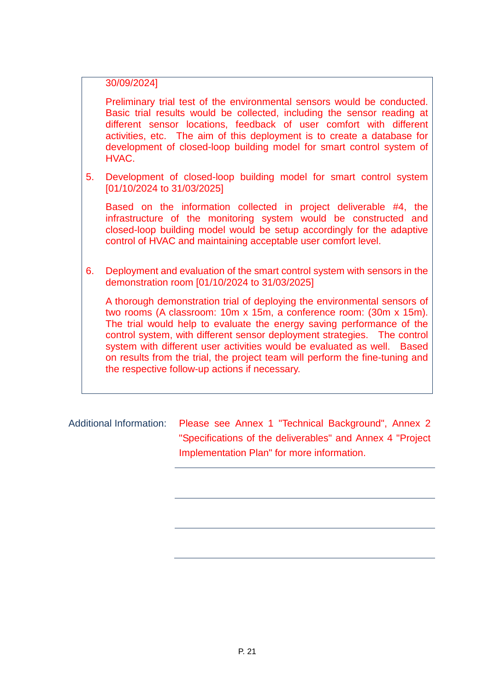30/09/2024]

Preliminary trial test of the environmental sensors would be conducted. Basic trial results would be collected, including the sensor reading at different sensor locations, feedback of user comfort with different activities, etc. The aim of this deployment is to create a database for development of closed-loop building model for smart control system of HVAC.

5. Development of closed-loop building model for smart control system [01/10/2024 to 31/03/2025]

Based on the information collected in project deliverable #4, the infrastructure of the monitoring system would be constructed and closed-loop building model would be setup accordingly for the adaptive control of HVAC and maintaining acceptable user comfort level.

6. Deployment and evaluation of the smart control system with sensors in the demonstration room [01/10/2024 to 31/03/2025]

A thorough demonstration trial of deploying the environmental sensors of two rooms (A classroom: 10m x 15m, a conference room: (30m x 15m). The trial would help to evaluate the energy saving performance of the control system, with different sensor deployment strategies. The control system with different user activities would be evaluated as well. Based on results from the trial, the project team will perform the fine-tuning and the respective follow-up actions if necessary.

Additional Information: Please see Annex 1 "Technical Background", Annex 2 "Specifications of the deliverables" and Annex 4 "Project Implementation Plan" for more information.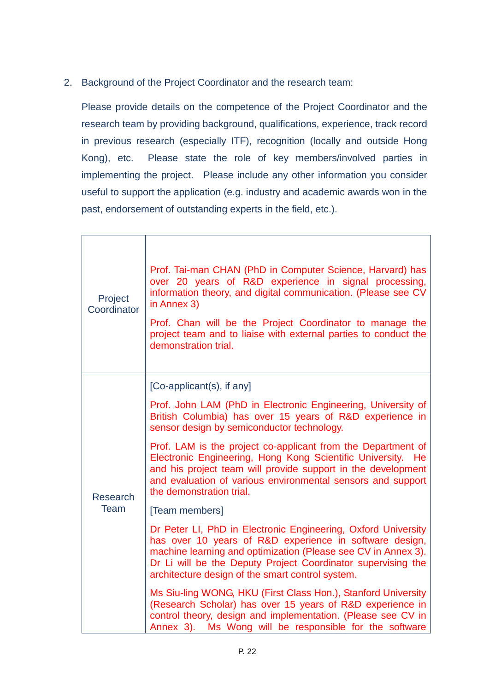2. Background of the Project Coordinator and the research team:

Please provide details on the competence of the Project Coordinator and the research team by providing background, qualifications, experience, track record in previous research (especially ITF), recognition (locally and outside Hong Kong), etc. Please state the role of key members/involved parties in implementing the project. Please include any other information you consider useful to support the application (e.g. industry and academic awards won in the past, endorsement of outstanding experts in the field, etc.).

| Project<br>Coordinator | Prof. Tai-man CHAN (PhD in Computer Science, Harvard) has<br>over 20 years of R&D experience in signal processing,<br>information theory, and digital communication. (Please see CV<br>in Annex 3)<br>Prof. Chan will be the Project Coordinator to manage the<br>project team and to liaise with external parties to conduct the<br>demonstration trial. |
|------------------------|-----------------------------------------------------------------------------------------------------------------------------------------------------------------------------------------------------------------------------------------------------------------------------------------------------------------------------------------------------------|
|                        | [Co-applicant(s), if any]                                                                                                                                                                                                                                                                                                                                 |
|                        | Prof. John LAM (PhD in Electronic Engineering, University of<br>British Columbia) has over 15 years of R&D experience in<br>sensor design by semiconductor technology.                                                                                                                                                                                    |
| <b>Research</b>        | Prof. LAM is the project co-applicant from the Department of<br>Electronic Engineering, Hong Kong Scientific University. He<br>and his project team will provide support in the development<br>and evaluation of various environmental sensors and support<br>the demonstration trial.                                                                    |
| Team                   | [Team members]                                                                                                                                                                                                                                                                                                                                            |
|                        | Dr Peter LI, PhD in Electronic Engineering, Oxford University<br>has over 10 years of R&D experience in software design,<br>machine learning and optimization (Please see CV in Annex 3).<br>Dr Li will be the Deputy Project Coordinator supervising the<br>architecture design of the smart control system.                                             |
|                        | Ms Siu-ling WONG, HKU (First Class Hon.), Stanford University<br>(Research Scholar) has over 15 years of R&D experience in<br>control theory, design and implementation. (Please see CV in<br>Annex 3). Ms Wong will be responsible for the software                                                                                                      |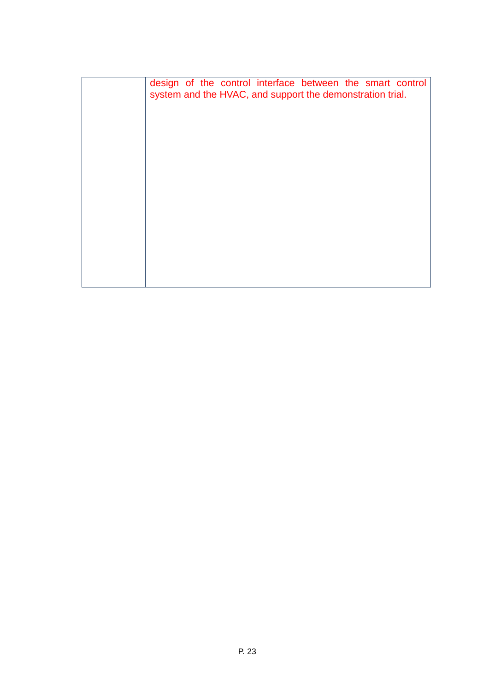| design of the control interface between the smart control<br>system and the HVAC, and support the demonstration trial. |
|------------------------------------------------------------------------------------------------------------------------|
|                                                                                                                        |
|                                                                                                                        |
|                                                                                                                        |
|                                                                                                                        |
|                                                                                                                        |
|                                                                                                                        |
|                                                                                                                        |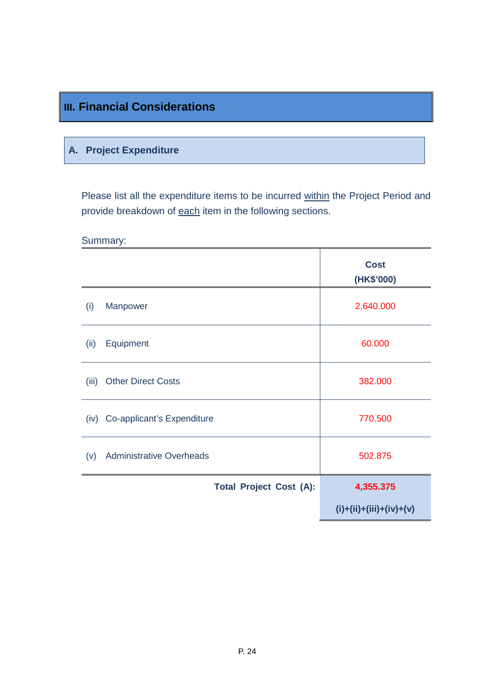# **III. Financial Considerations**

## **A. Project Expenditure**

Please list all the expenditure items to be incurred within the Project Period and provide breakdown of each item in the following sections.

Summary:

|       |                                 | <b>Cost</b><br>(HK\$'000) |
|-------|---------------------------------|---------------------------|
| (i)   | Manpower                        | 2,640.000                 |
| (ii)  | Equipment                       | 60.000                    |
| (iii) | <b>Other Direct Costs</b>       | 382.000                   |
| (iv)  | Co-applicant's Expenditure      | 770.500                   |
| (v)   | <b>Administrative Overheads</b> | 502.875                   |
|       | <b>Total Project Cost (A):</b>  | 4,355.375                 |
|       |                                 | $(i)+(ii)+(iii)+(iv)+(v)$ |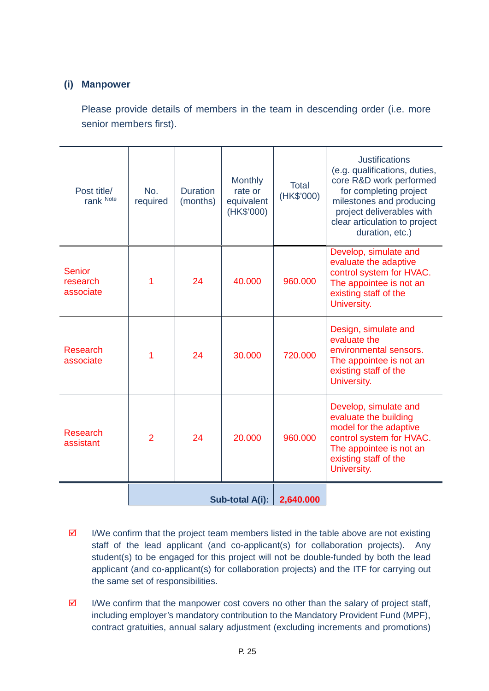### **(i) Manpower**

Please provide details of members in the team in descending order (i.e. more senior members first).

| Post title/<br>rank Note               | No.<br>required | <b>Duration</b><br>(months) | <b>Monthly</b><br>rate or<br>equivalent<br>(HK\$'000) | Total<br>(HK\$'000) | <b>Justifications</b><br>(e.g. qualifications, duties,<br>core R&D work performed<br>for completing project<br>milestones and producing<br>project deliverables with<br>clear articulation to project<br>duration, etc.) |
|----------------------------------------|-----------------|-----------------------------|-------------------------------------------------------|---------------------|--------------------------------------------------------------------------------------------------------------------------------------------------------------------------------------------------------------------------|
| <b>Senior</b><br>research<br>associate | 1               | 24                          | 40.000                                                | 960.000             | Develop, simulate and<br>evaluate the adaptive<br>control system for HVAC.<br>The appointee is not an<br>existing staff of the<br>University.                                                                            |
| Research<br>associate                  | 1               | 24                          | 30.000                                                | 720.000             | Design, simulate and<br>evaluate the<br>environmental sensors.<br>The appointee is not an<br>existing staff of the<br>University.                                                                                        |
| <b>Research</b><br>assistant           | $\overline{2}$  | 24                          | 20.000                                                | 960.000             | Develop, simulate and<br>evaluate the building<br>model for the adaptive<br>control system for HVAC.<br>The appointee is not an<br>existing staff of the<br>University.                                                  |
|                                        | Sub-total A(i): |                             | 2,640.000                                             |                     |                                                                                                                                                                                                                          |

- $\boxtimes$  I/We confirm that the project team members listed in the table above are not existing staff of the lead applicant (and co-applicant(s) for collaboration projects). Any student(s) to be engaged for this project will not be double-funded by both the lead applicant (and co-applicant(s) for collaboration projects) and the ITF for carrying out the same set of responsibilities.
- $\boxtimes$  I/We confirm that the manpower cost covers no other than the salary of project staff, including employer's mandatory contribution to the Mandatory Provident Fund (MPF), contract gratuities, annual salary adjustment (excluding increments and promotions)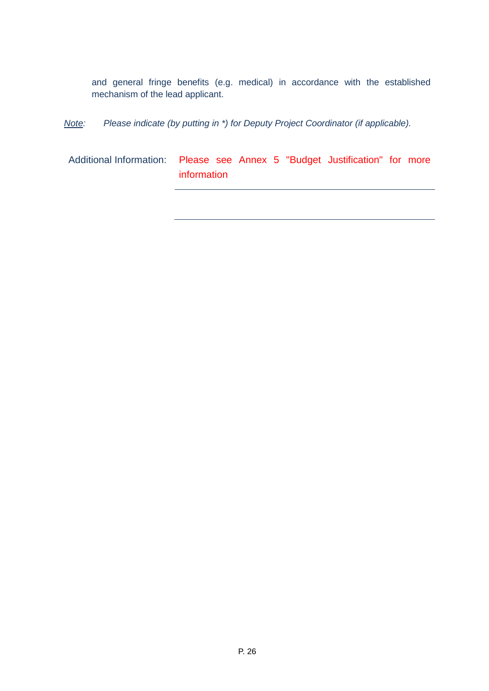and general fringe benefits (e.g. medical) in accordance with the established mechanism of the lead applicant.

*Note: Please indicate (by putting in \*) for Deputy Project Coordinator (if applicable).*

Additional Information: Please see Annex 5 "Budget Justification" for more information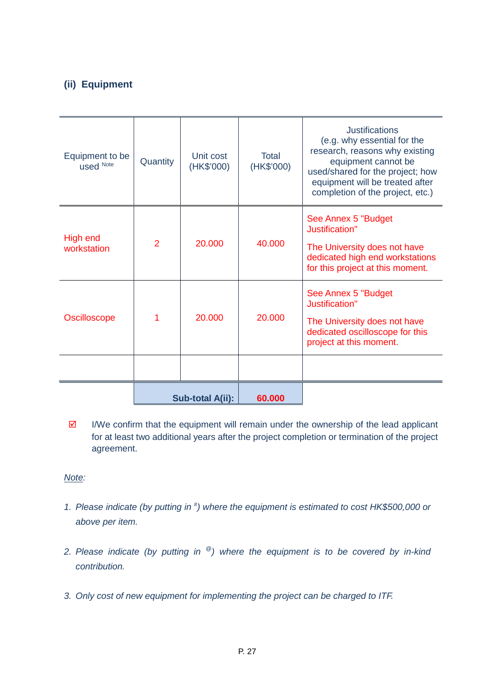## **(ii) Equipment**

| Equipment to be<br>used Note   | Quantity         | Unit cost<br>(HK\$'000) | Total<br>(HK\$'000) | <b>Justifications</b><br>(e.g. why essential for the<br>research, reasons why existing<br>equipment cannot be<br>used/shared for the project; how<br>equipment will be treated after<br>completion of the project, etc.) |
|--------------------------------|------------------|-------------------------|---------------------|--------------------------------------------------------------------------------------------------------------------------------------------------------------------------------------------------------------------------|
| <b>High end</b><br>workstation | $\overline{2}$   | 20,000                  | 40.000              | See Annex 5 "Budget<br>Justification"<br>The University does not have<br>dedicated high end workstations<br>for this project at this moment.                                                                             |
| <b>Oscilloscope</b>            |                  | 20.000                  | 20.000              | See Annex 5 "Budget<br>Justification"<br>The University does not have<br>dedicated oscilloscope for this<br>project at this moment.                                                                                      |
|                                |                  |                         |                     |                                                                                                                                                                                                                          |
|                                | Sub-total A(ii): |                         | 60.000              |                                                                                                                                                                                                                          |

 $\boxtimes$  I/We confirm that the equipment will remain under the ownership of the lead applicant for at least two additional years after the project completion or termination of the project agreement.

#### *Note:*

- *1. Please indicate (by putting in # ) where the equipment is estimated to cost HK\$500,000 or above per item.*
- *2. Please indicate (by putting in @) where the equipment is to be covered by in-kind contribution.*
- *3. Only cost of new equipment for implementing the project can be charged to ITF.*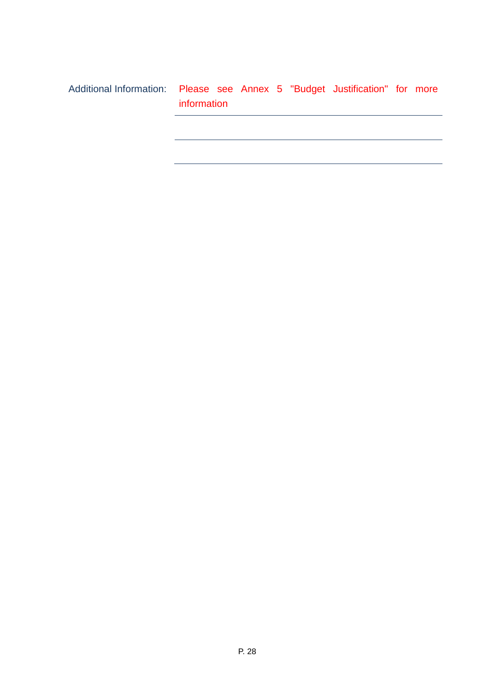| Additional Information: Please see Annex 5 "Budget Justification" for more |             |  |  |  |  |
|----------------------------------------------------------------------------|-------------|--|--|--|--|
|                                                                            | information |  |  |  |  |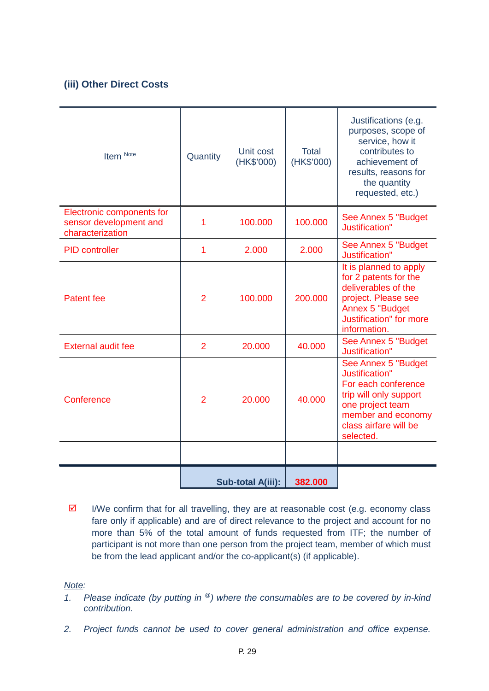## **(iii) Other Direct Costs**

| Item Note                                                               | Quantity       | Unit cost<br>(HK\$'000) | <b>Total</b><br>(HK\$'000) | Justifications (e.g.<br>purposes, scope of<br>service, how it<br>contributes to<br>achievement of<br>results, reasons for<br>the quantity<br>requested, etc.)              |
|-------------------------------------------------------------------------|----------------|-------------------------|----------------------------|----------------------------------------------------------------------------------------------------------------------------------------------------------------------------|
| Electronic components for<br>sensor development and<br>characterization | 1              | 100.000                 | 100.000                    | See Annex 5 "Budget<br>Justification"                                                                                                                                      |
| <b>PID</b> controller                                                   | 1              | 2.000                   | 2.000                      | See Annex 5 "Budget<br>Justification"                                                                                                                                      |
| <b>Patent fee</b>                                                       | $\overline{2}$ | 100.000                 | 200.000                    | It is planned to apply<br>for 2 patents for the<br>deliverables of the<br>project. Please see<br><b>Annex 5 "Budget</b><br><b>Justification</b> " for more<br>information. |
| <b>External audit fee</b>                                               | $\overline{2}$ | 20.000                  | 40.000                     | See Annex 5 "Budget<br>Justification"                                                                                                                                      |
| Conference                                                              | $\overline{2}$ | 20.000                  | 40.000                     | See Annex 5 "Budget<br>Justification"<br>For each conference<br>trip will only support<br>one project team<br>member and economy<br>class airfare will be<br>selected.     |
|                                                                         |                |                         |                            |                                                                                                                                                                            |
|                                                                         |                | Sub-total A(iii):       | 382.000                    |                                                                                                                                                                            |

 $\boxtimes$  I/We confirm that for all travelling, they are at reasonable cost (e.g. economy class fare only if applicable) and are of direct relevance to the project and account for no more than 5% of the total amount of funds requested from ITF; the number of participant is not more than one person from the project team, member of which must be from the lead applicant and/or the co-applicant(s) (if applicable).

*Note:*

- *1. Please indicate (by putting in @) where the consumables are to be covered by in-kind contribution.*
- *2. Project funds cannot be used to cover general administration and office expense.*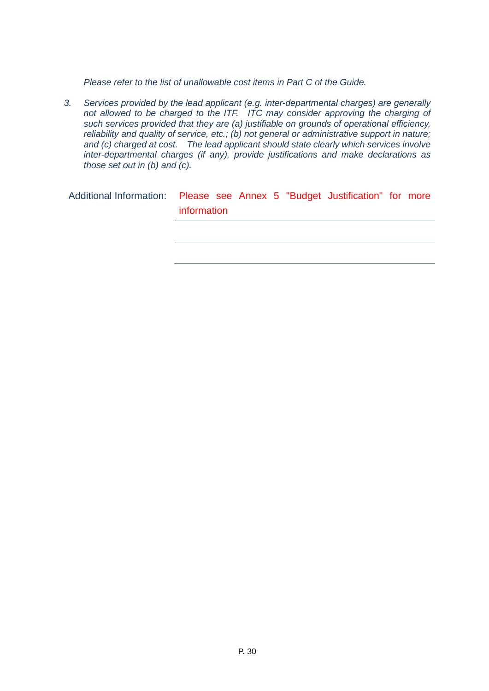*Please refer to the list of unallowable cost items in Part C of the Guide.*

*3. Services provided by the lead applicant (e.g. inter-departmental charges) are generally not allowed to be charged to the ITF. ITC may consider approving the charging of such services provided that they are (a) justifiable on grounds of operational efficiency, reliability and quality of service, etc.; (b) not general or administrative support in nature; and (c) charged at cost. The lead applicant should state clearly which services involve inter-departmental charges (if any), provide justifications and make declarations as those set out in (b) and (c).*

Additional Information: Please see Annex 5 "Budget Justification" for more information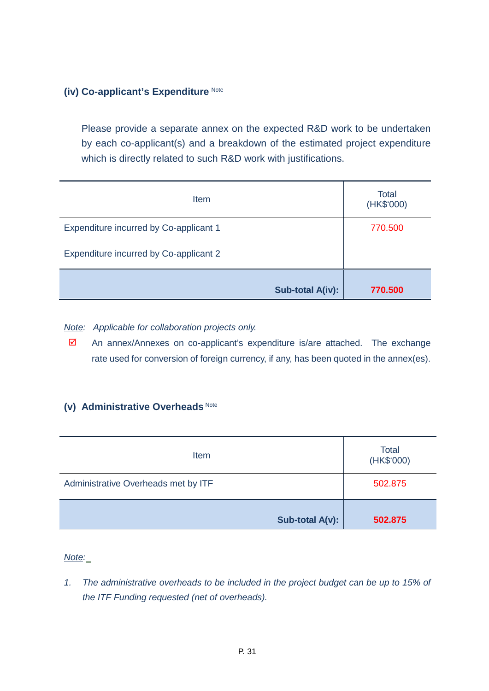#### **(iv) Co-applicant's Expenditure** Note

Please provide a separate annex on the expected R&D work to be undertaken by each co-applicant(s) and a breakdown of the estimated project expenditure which is directly related to such R&D work with justifications.

| Item                                   | Total<br>(HK\$'000) |
|----------------------------------------|---------------------|
| Expenditure incurred by Co-applicant 1 | 770.500             |
| Expenditure incurred by Co-applicant 2 |                     |
| Sub-total A(iv):                       | 770.500             |

*Note: Applicable for collaboration projects only.* 

 $\boxtimes$  An annex/Annexes on co-applicant's expenditure is/are attached. The exchange rate used for conversion of foreign currency, if any, has been quoted in the annex(es).

#### **(v) Administrative Overheads** Note

| Item                                | Total<br>(HK\$'000) |  |
|-------------------------------------|---------------------|--|
| Administrative Overheads met by ITF | 502.875             |  |
| Sub-total A(v):                     | 502.875             |  |

*Note:*

*1. The administrative overheads to be included in the project budget can be up to 15% of the ITF Funding requested (net of overheads).*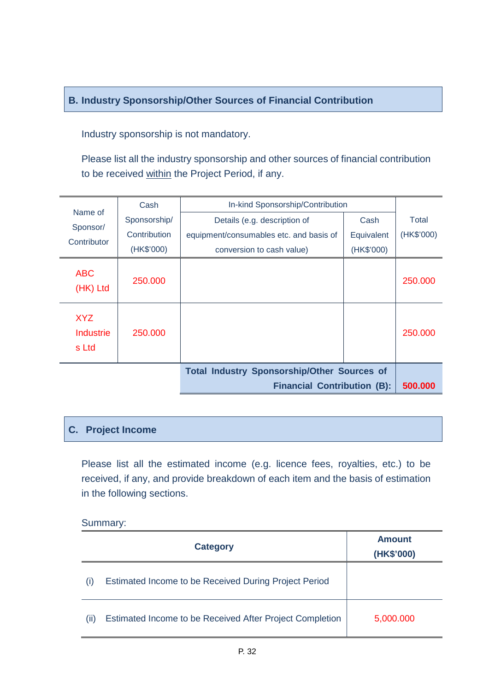## **B. Industry Sponsorship/Other Sources of Financial Contribution**

Industry sponsorship is not mandatory.

Please list all the industry sponsorship and other sources of financial contribution to be received within the Project Period, if any.

| Name of                          | Cash         | In-kind Sponsorship/Contribution                   |            |            |
|----------------------------------|--------------|----------------------------------------------------|------------|------------|
| Sponsor/                         | Sponsorship/ | Details (e.g. description of                       | Cash       | Total      |
| Contributor                      | Contribution | equipment/consumables etc. and basis of            | Equivalent | (HK\$'000) |
|                                  | (HK\$'000)   | conversion to cash value)                          | (HK\$'000) |            |
| <b>ABC</b><br>(HK) Ltd           | 250.000      |                                                    |            | 250.000    |
| <b>XYZ</b><br>Industrie<br>s Ltd | 250,000      |                                                    |            | 250,000    |
|                                  |              | <b>Total Industry Sponsorship/Other Sources of</b> |            |            |
|                                  |              | <b>Financial Contribution (B):</b>                 |            | 500.000    |

## **C. Project Income**

Please list all the estimated income (e.g. licence fees, royalties, etc.) to be received, if any, and provide breakdown of each item and the basis of estimation in the following sections.

#### Summary:

|      | <b>Category</b>                                          | <b>Amount</b><br>(HK\$'000) |
|------|----------------------------------------------------------|-----------------------------|
| (i)  | Estimated Income to be Received During Project Period    |                             |
| (ii) | Estimated Income to be Received After Project Completion | 5,000.000                   |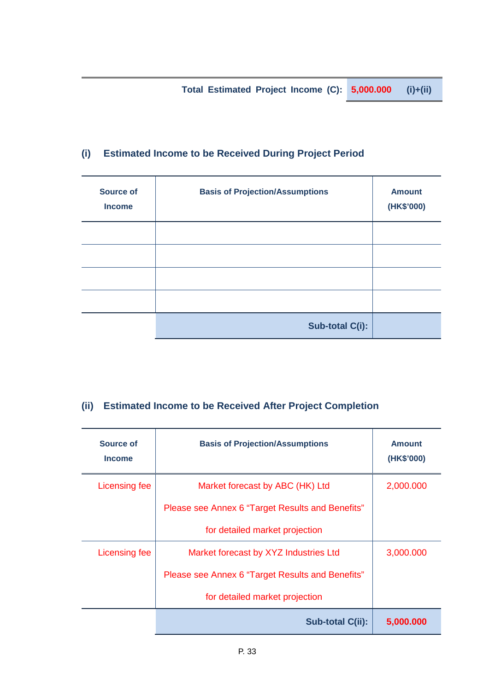**Total Estimated Project Income (C): 5,000.000 (i)+(ii)**

# **(i) Estimated Income to be Received During Project Period**

| <b>Source of</b><br><b>Income</b> | <b>Basis of Projection/Assumptions</b> | <b>Amount</b><br>(HK\$'000) |
|-----------------------------------|----------------------------------------|-----------------------------|
|                                   |                                        |                             |
|                                   |                                        |                             |
|                                   |                                        |                             |
|                                   |                                        |                             |
|                                   | Sub-total C(i):                        |                             |

## **(ii) Estimated Income to be Received After Project Completion**

| Source of<br><b>Income</b> | <b>Basis of Projection/Assumptions</b>           | <b>Amount</b><br>(HK\$'000) |
|----------------------------|--------------------------------------------------|-----------------------------|
| Licensing fee              | Market forecast by ABC (HK) Ltd                  | 2,000.000                   |
|                            | Please see Annex 6 "Target Results and Benefits" |                             |
|                            | for detailed market projection                   |                             |
| Licensing fee              | Market forecast by XYZ Industries Ltd            | 3,000.000                   |
|                            | Please see Annex 6 "Target Results and Benefits" |                             |
|                            | for detailed market projection                   |                             |
|                            | Sub-total C(ii):                                 | 5,000.000                   |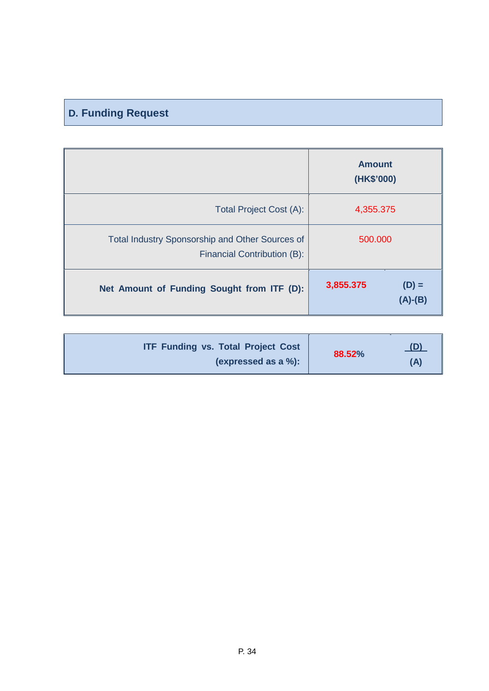# **D. Funding Request**

|                                                                                | <b>Amount</b><br>(HK\$'000)       |
|--------------------------------------------------------------------------------|-----------------------------------|
| <b>Total Project Cost (A):</b>                                                 | 4,355.375                         |
| Total Industry Sponsorship and Other Sources of<br>Financial Contribution (B): | 500,000                           |
| Net Amount of Funding Sought from ITF (D):                                     | 3,855.375<br>$(D) =$<br>$(A)-(B)$ |

| <b>ITF Funding vs. Total Project Cost</b><br>(expressed as a %): | 88.52% | <u>_(D)</u><br>(A) |
|------------------------------------------------------------------|--------|--------------------|
|                                                                  |        |                    |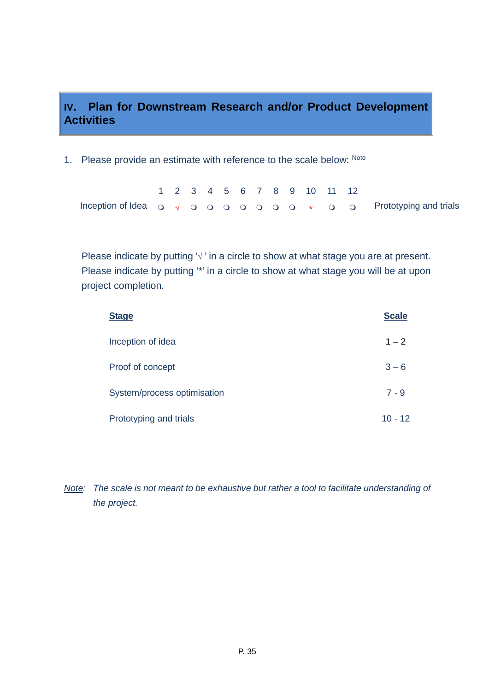# **IV. Plan for Downstream Research and/or Product Development Activities**

1. Please provide an estimate with reference to the scale below: Note

|  |  |  |  |  |  | 1 2 3 4 5 6 7 8 9 10 11 12 |                                                                                                                                                  |
|--|--|--|--|--|--|----------------------------|--------------------------------------------------------------------------------------------------------------------------------------------------|
|  |  |  |  |  |  |                            | Inception of Idea $\circ \circ \circ \circ \circ \circ \circ \circ \circ \circ \circ \circ \circ \circ \circ \circ \circ$ Prototyping and trials |

Please indicate by putting '√' in a circle to show at what stage you are at present. Please indicate by putting '\*' in a circle to show at what stage you will be at upon project completion.

| <b>Stage</b>                | <b>Scale</b> |
|-----------------------------|--------------|
| Inception of idea           | $1 - 2$      |
| Proof of concept            | $3 - 6$      |
| System/process optimisation | $7 - 9$      |
| Prototyping and trials      | $10 - 12$    |

*Note: The scale is not meant to be exhaustive but rather a tool to facilitate understanding of the project.*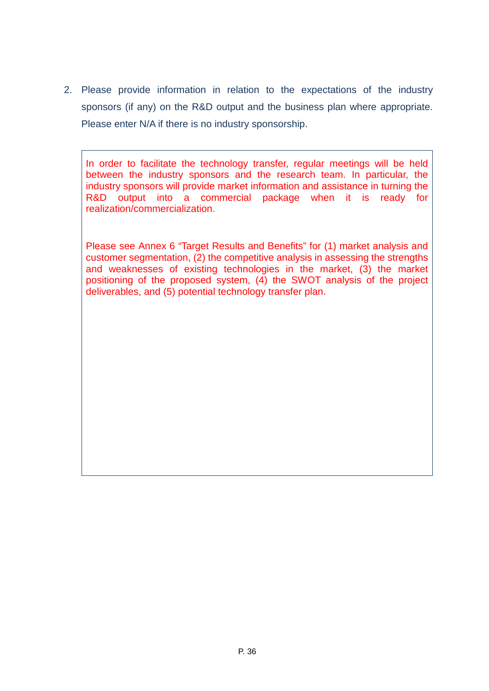2. Please provide information in relation to the expectations of the industry sponsors (if any) on the R&D output and the business plan where appropriate. Please enter N/A if there is no industry sponsorship.

In order to facilitate the technology transfer, regular meetings will be held between the industry sponsors and the research team. In particular, the industry sponsors will provide market information and assistance in turning the R&D output into a commercial package when it is ready for realization/commercialization.

Please see Annex 6 "Target Results and Benefits" for (1) market analysis and customer segmentation, (2) the competitive analysis in assessing the strengths and weaknesses of existing technologies in the market, (3) the market positioning of the proposed system, (4) the SWOT analysis of the project deliverables, and (5) potential technology transfer plan.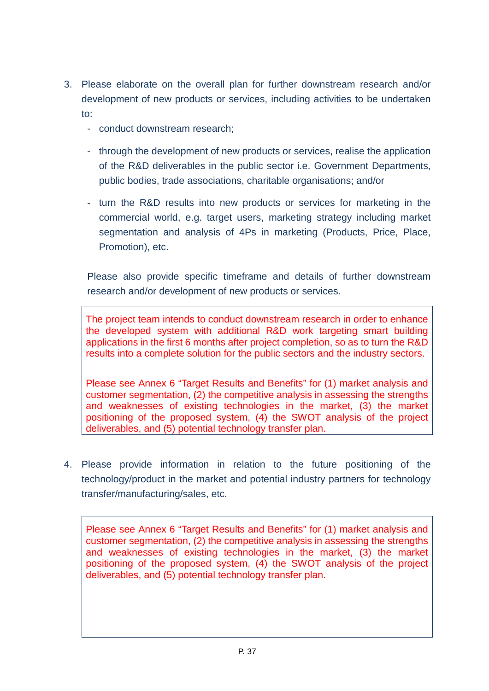- 3. Please elaborate on the overall plan for further downstream research and/or development of new products or services, including activities to be undertaken to:
	- conduct downstream research;
	- through the development of new products or services, realise the application of the R&D deliverables in the public sector i.e. Government Departments, public bodies, trade associations, charitable organisations; and/or
	- turn the R&D results into new products or services for marketing in the commercial world, e.g. target users, marketing strategy including market segmentation and analysis of 4Ps in marketing (Products, Price, Place, Promotion), etc.

Please also provide specific timeframe and details of further downstream research and/or development of new products or services.

The project team intends to conduct downstream research in order to enhance the developed system with additional R&D work targeting smart building applications in the first 6 months after project completion, so as to turn the R&D results into a complete solution for the public sectors and the industry sectors.

Please see Annex 6 "Target Results and Benefits" for (1) market analysis and customer segmentation, (2) the competitive analysis in assessing the strengths and weaknesses of existing technologies in the market, (3) the market positioning of the proposed system, (4) the SWOT analysis of the project deliverables, and (5) potential technology transfer plan.

4. Please provide information in relation to the future positioning of the technology/product in the market and potential industry partners for technology transfer/manufacturing/sales, etc.

Please see Annex 6 "Target Results and Benefits" for (1) market analysis and customer segmentation, (2) the competitive analysis in assessing the strengths and weaknesses of existing technologies in the market, (3) the market positioning of the proposed system, (4) the SWOT analysis of the project deliverables, and (5) potential technology transfer plan.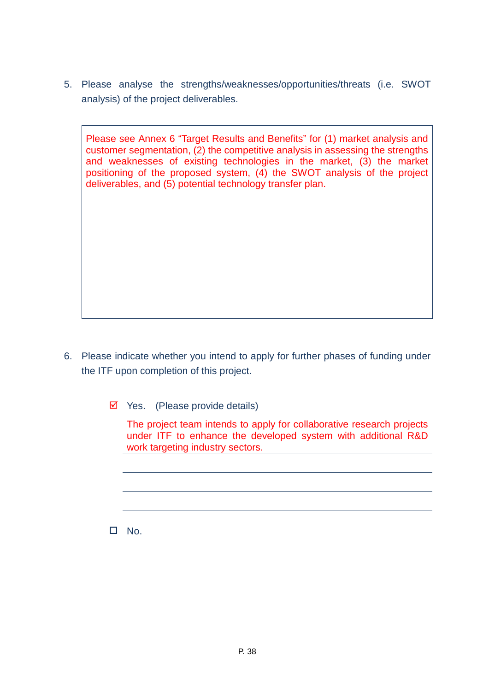5. Please analyse the strengths/weaknesses/opportunities/threats (i.e. SWOT analysis) of the project deliverables.

Please see Annex 6 "Target Results and Benefits" for (1) market analysis and customer segmentation, (2) the competitive analysis in assessing the strengths and weaknesses of existing technologies in the market, (3) the market positioning of the proposed system, (4) the SWOT analysis of the project deliverables, and (5) potential technology transfer plan.

6. Please indicate whether you intend to apply for further phases of funding under the ITF upon completion of this project.

 $\triangleright$  Yes. (Please provide details)

The project team intends to apply for collaborative research projects under ITF to enhance the developed system with additional R&D work targeting industry sectors.

 $\square$  No.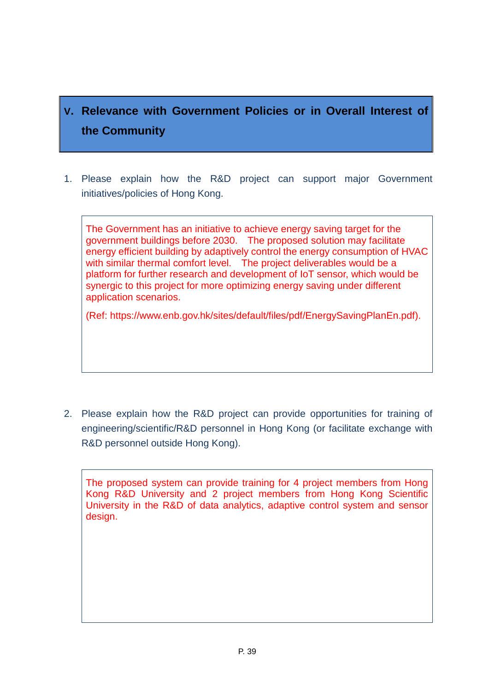# **V. Relevance with Government Policies or in Overall Interest of the Community**

1. Please explain how the R&D project can support major Government initiatives/policies of Hong Kong.

The Government has an initiative to achieve energy saving target for the government buildings before 2030. The proposed solution may facilitate energy efficient building by adaptively control the energy consumption of HVAC with similar thermal comfort level. The project deliverables would be a platform for further research and development of IoT sensor, which would be synergic to this project for more optimizing energy saving under different application scenarios.

(Ref: https://www.enb.gov.hk/sites/default/files/pdf/EnergySavingPlanEn.pdf).

2. Please explain how the R&D project can provide opportunities for training of engineering/scientific/R&D personnel in Hong Kong (or facilitate exchange with R&D personnel outside Hong Kong).

The proposed system can provide training for 4 project members from Hong Kong R&D University and 2 project members from Hong Kong Scientific University in the R&D of data analytics, adaptive control system and sensor design.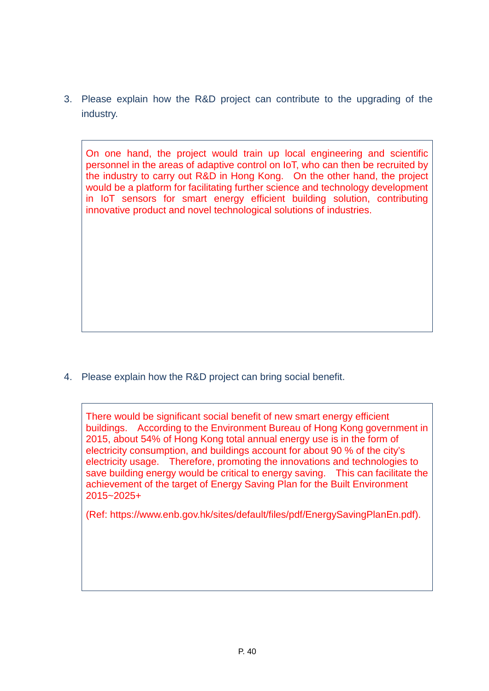3. Please explain how the R&D project can contribute to the upgrading of the industry.

On one hand, the project would train up local engineering and scientific personnel in the areas of adaptive control on IoT, who can then be recruited by the industry to carry out R&D in Hong Kong. On the other hand, the project would be a platform for facilitating further science and technology development in IoT sensors for smart energy efficient building solution, contributing innovative product and novel technological solutions of industries.

4. Please explain how the R&D project can bring social benefit.

There would be significant social benefit of new smart energy efficient buildings. According to the Environment Bureau of Hong Kong government in 2015, about 54% of Hong Kong total annual energy use is in the form of electricity consumption, and buildings account for about 90 % of the city's electricity usage. Therefore, promoting the innovations and technologies to save building energy would be critical to energy saving. This can facilitate the achievement of the target of Energy Saving Plan for the Built Environment 2015~2025+

(Ref: https://www.enb.gov.hk/sites/default/files/pdf/EnergySavingPlanEn.pdf).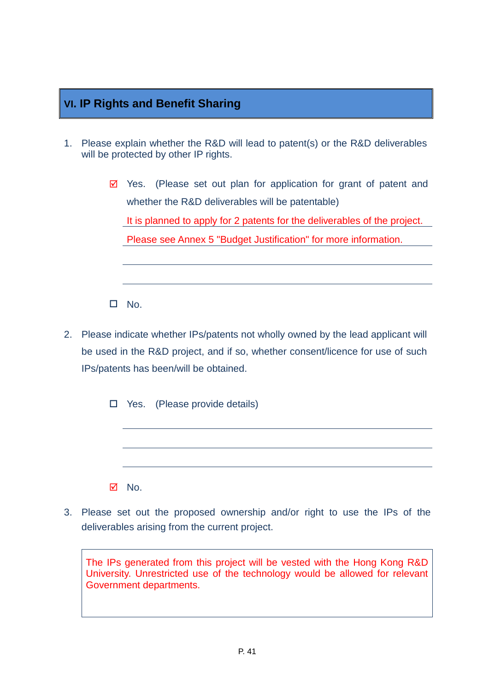# **VI. IP Rights and Benefit Sharing**

- 1. Please explain whether the R&D will lead to patent(s) or the R&D deliverables will be protected by other IP rights.
	- $\boxtimes$  Yes. (Please set out plan for application for grant of patent and whether the R&D deliverables will be patentable) It is planned to apply for 2 patents for the deliverables of the project. Please see Annex 5 "Budget Justification" for more information.

 $\Pi$ . No.

2. Please indicate whether IPs/patents not wholly owned by the lead applicant will be used in the R&D project, and if so, whether consent/licence for use of such IPs/patents has been/will be obtained.

 $\Box$  Yes. (Please provide details)

 $\boxtimes$  No.

3. Please set out the proposed ownership and/or right to use the IPs of the deliverables arising from the current project.

The IPs generated from this project will be vested with the Hong Kong R&D University. Unrestricted use of the technology would be allowed for relevant Government departments.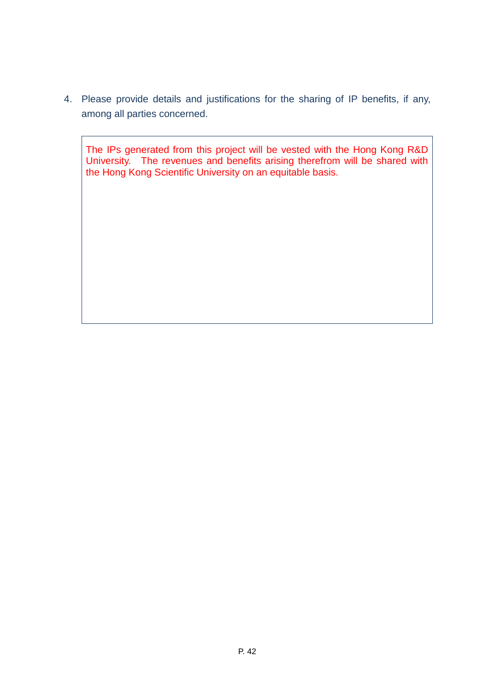4. Please provide details and justifications for the sharing of IP benefits, if any, among all parties concerned.

The IPs generated from this project will be vested with the Hong Kong R&D University. The revenues and benefits arising therefrom will be shared with the Hong Kong Scientific University on an equitable basis.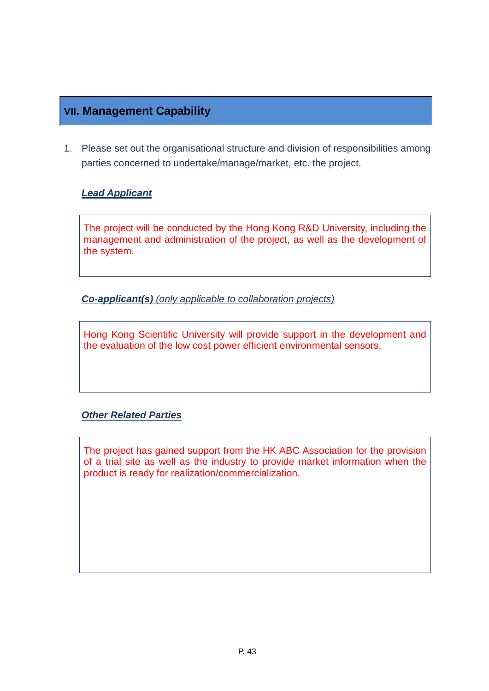# **VII. Management Capability**

1. Please set out the organisational structure and division of responsibilities among parties concerned to undertake/manage/market, etc. the project.

### *Lead Applicant*

The project will be conducted by the Hong Kong R&D University, including the management and administration of the project, as well as the development of the system.

*Co-applicant(s) (only applicable to collaboration projects)*

Hong Kong Scientific University will provide support in the development and the evaluation of the low cost power efficient environmental sensors.

### *Other Related Parties*

The project has gained support from the HK ABC Association for the provision of a trial site as well as the industry to provide market information when the product is ready for realization/commercialization.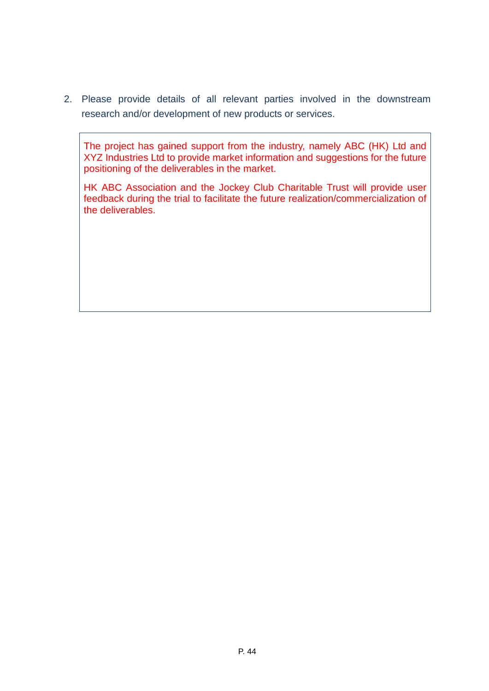2. Please provide details of all relevant parties involved in the downstream research and/or development of new products or services.

The project has gained support from the industry, namely ABC (HK) Ltd and XYZ Industries Ltd to provide market information and suggestions for the future positioning of the deliverables in the market.

HK ABC Association and the Jockey Club Charitable Trust will provide user feedback during the trial to facilitate the future realization/commercialization of the deliverables.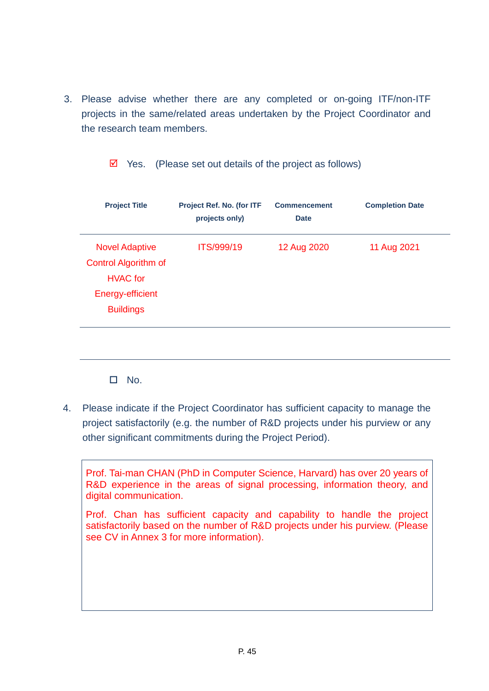3. Please advise whether there are any completed or on-going ITF/non-ITF projects in the same/related areas undertaken by the Project Coordinator and the research team members.

|  |  | $\overline{\mathbf{2}}$ Yes. (Please set out details of the project as follows) |
|--|--|---------------------------------------------------------------------------------|
|--|--|---------------------------------------------------------------------------------|

| <b>Project Title</b>        | Project Ref. No. (for ITF<br>projects only) | <b>Commencement</b><br><b>Date</b> | <b>Completion Date</b> |
|-----------------------------|---------------------------------------------|------------------------------------|------------------------|
| <b>Novel Adaptive</b>       | <b>ITS/999/19</b>                           | 12 Aug 2020                        | 11 Aug 2021            |
| <b>Control Algorithm of</b> |                                             |                                    |                        |
| <b>HVAC</b> for             |                                             |                                    |                        |
| Energy-efficient            |                                             |                                    |                        |
| <b>Buildings</b>            |                                             |                                    |                        |
|                             |                                             |                                    |                        |
|                             |                                             |                                    |                        |

 $\Box$  No.

4. Please indicate if the Project Coordinator has sufficient capacity to manage the project satisfactorily (e.g. the number of R&D projects under his purview or any other significant commitments during the Project Period).

Prof. Tai-man CHAN (PhD in Computer Science, Harvard) has over 20 years of R&D experience in the areas of signal processing, information theory, and digital communication.

Prof. Chan has sufficient capacity and capability to handle the project satisfactorily based on the number of R&D projects under his purview. (Please see CV in Annex 3 for more information).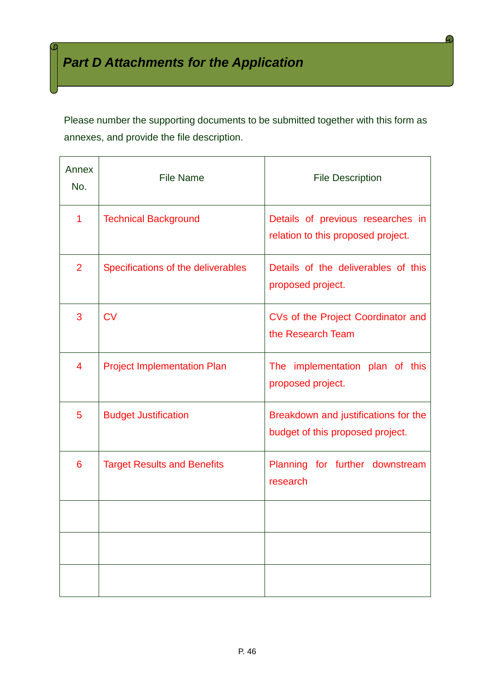Please number the supporting documents to be submitted together with this form as annexes, and provide the file description.

| Annex<br>No.   | <b>File Name</b>                   | <b>File Description</b>                                                  |
|----------------|------------------------------------|--------------------------------------------------------------------------|
| 1              | <b>Technical Background</b>        | Details of previous researches in<br>relation to this proposed project.  |
| $\overline{2}$ | Specifications of the deliverables | Details of the deliverables of this<br>proposed project.                 |
| 3              | CV                                 | CVs of the Project Coordinator and<br>the Research Team                  |
| 4              | <b>Project Implementation Plan</b> | The implementation plan of this<br>proposed project.                     |
| 5              | <b>Budget Justification</b>        | Breakdown and justifications for the<br>budget of this proposed project. |
| 6              | <b>Target Results and Benefits</b> | Planning for further downstream<br>research                              |
|                |                                    |                                                                          |
|                |                                    |                                                                          |
|                |                                    |                                                                          |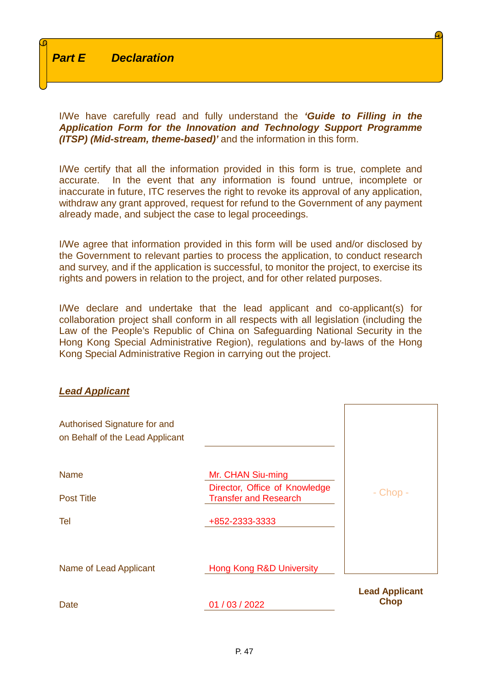I/We have carefully read and fully understand the *'Guide to Filling in the Application Form for the Innovation and Technology Support Programme (ITSP) (Mid-stream, theme-based)'* and the information in this form.

I/We certify that all the information provided in this form is true, complete and accurate. In the event that any information is found untrue, incomplete or inaccurate in future, ITC reserves the right to revoke its approval of any application, withdraw any grant approved, request for refund to the Government of any payment already made, and subject the case to legal proceedings.

I/We agree that information provided in this form will be used and/or disclosed by the Government to relevant parties to process the application, to conduct research and survey, and if the application is successful, to monitor the project, to exercise its rights and powers in relation to the project, and for other related purposes.

I/We declare and undertake that the lead applicant and co-applicant(s) for collaboration project shall conform in all respects with all legislation (including the Law of the People's Republic of China on Safeguarding National Security in the Hong Kong Special Administrative Region), regulations and by-laws of the Hong Kong Special Administrative Region in carrying out the project.

#### *Lead Applicant*

| Authorised Signature for and<br>on Behalf of the Lead Applicant |                                                               |                                      |
|-----------------------------------------------------------------|---------------------------------------------------------------|--------------------------------------|
| <b>Name</b>                                                     | Mr. CHAN Siu-ming                                             |                                      |
| <b>Post Title</b>                                               | Director, Office of Knowledge<br><b>Transfer and Research</b> | $-$ Chop $-$                         |
| Tel                                                             | +852-2333-3333                                                |                                      |
| Name of Lead Applicant                                          | <b>Hong Kong R&amp;D University</b>                           |                                      |
| Date                                                            | 01 / 03 / 2022                                                | <b>Lead Applicant</b><br><b>Chop</b> |